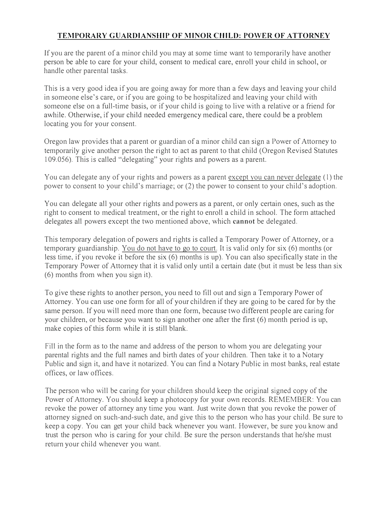## TEMPORARY GUARDIANSHIP OF MINOR CHILD: POWER OF ATTORNEY

If you are the parent of a minor child you may at some time want to temporarily have another person be able to care for your child, consent to medical care, enroll your child in school, or handle other parental tasks.

This is a very good idea if you are going away for more than a few days and leaving your child in someone else's care, or if you are going to be hospitalized and leaving your child with someone else on a full-time basis, or if your child is going to live with a relative or a friend for awhile. Otherwise, if your child needed emergency medical care, there could be a problem locating you for your consent.

Oregon law provides that a parent or guardian of a minor child can sign a Power of Attorney to temporarily give another person the right to act as parent to that child (Oregon Revised Statutes I 09.056). This is called "delegating" your rights and powers as a parent.

You can delegate any of your rights and powers as a parent except vou can never delegate (I) the power to consent to your child's marriage; or (2) the power to consent to your child's adoption.

You can delegate all your other rights and powers as a parent, or only certain ones, such as the right to consent to medical treatment, or the right to enroll a child in school. The form attached delegates all powers except the two mentioned above, which cannot be delegated.

This temporary delegation of powers and rights is called a Temporary Power of Attorney, or a temporary guardianship. You do not have to go to court. It is valid only for six (6) months (or less time, if you revoke it before the six (6) months is up). You can also specifically state in the Temporary Power of Attorney that it is valid only until a certain date (but it must be less than six (6) months from when you sign it).

To give these rights to another person, you need to fill out and sign a Temporary Power of Attorney. You can use one form for all of your children if they are going to be cared for by the same person. If you will need more than one form, because two different people are caring for your children, or because you want to sign another one after the first (6) month period is up, make copies of this form while it is still blank.

Fill in the form as to the name and address of the person to whom you are delegating your parental rights and the full names and birth dates of your children. Then take it to a Notary Public and sign it, and have it notarized. You can find a Notary Public in most banks, real estate offices, or law offices.

The person who will be caring for your children should keep the original signed copy of the Power of Attorney. You should keep a photocopy for your own records. REMEMBER: You can revoke the power of attorney any time you want. Just write down that you revoke the power of attorney signed on such-and-such date, and give this to the person who has your child. Be sure to keep a copy. You can get your child back whenever you want. However, be sure you know and trust the person who is caring for your child. Be sure the person understands that he/she must return your child whenever you want.